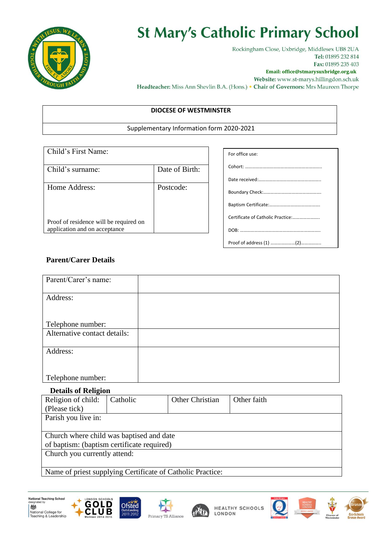

# **St Mary's Catholic Primary School**

Rockingham Close, Uxbridge, Middlesex UB8 2UA Tel: 01895 232 814 Fax: 01895 235 403

**Email: office@stmarysuxbridge.org.uk**

Website: www.st-marys.hillingdon.sch.uk Headteacher: Miss Ann Shevlin B.A. (Hons.) • Chair of Governors: Mrs Maureen Thorpe

#### **DIOCESE OF WESTMINSTER**

#### Supplementary Information form 2020-2021

| Child's First Name:                                                     |                |
|-------------------------------------------------------------------------|----------------|
| Child's surname:                                                        | Date of Birth: |
| Home Address:                                                           | Postcode:      |
| Proof of residence will be required on<br>application and on acceptance |                |

| For office use:                   |
|-----------------------------------|
|                                   |
|                                   |
|                                   |
|                                   |
| Certificate of Catholic Practice: |
|                                   |
|                                   |

## **Parent/Carer Details**

| Parent/Carer's name:         |  |
|------------------------------|--|
|                              |  |
| Address:                     |  |
|                              |  |
|                              |  |
| Telephone number:            |  |
| Alternative contact details: |  |
|                              |  |
| Address:                     |  |
|                              |  |
|                              |  |
| Telephone number:            |  |

### **Details of Religion**

| o                                                          |          |                 |             |  |  |
|------------------------------------------------------------|----------|-----------------|-------------|--|--|
| Religion of child:                                         | Catholic | Other Christian | Other faith |  |  |
| (Please tick)                                              |          |                 |             |  |  |
| Parish you live in:                                        |          |                 |             |  |  |
|                                                            |          |                 |             |  |  |
| Church where child was baptised and date                   |          |                 |             |  |  |
| of baptism: (baptism certificate required)                 |          |                 |             |  |  |
| Church you currently attend:                               |          |                 |             |  |  |
|                                                            |          |                 |             |  |  |
| Name of priest supplying Certificate of Catholic Practice: |          |                 |             |  |  |